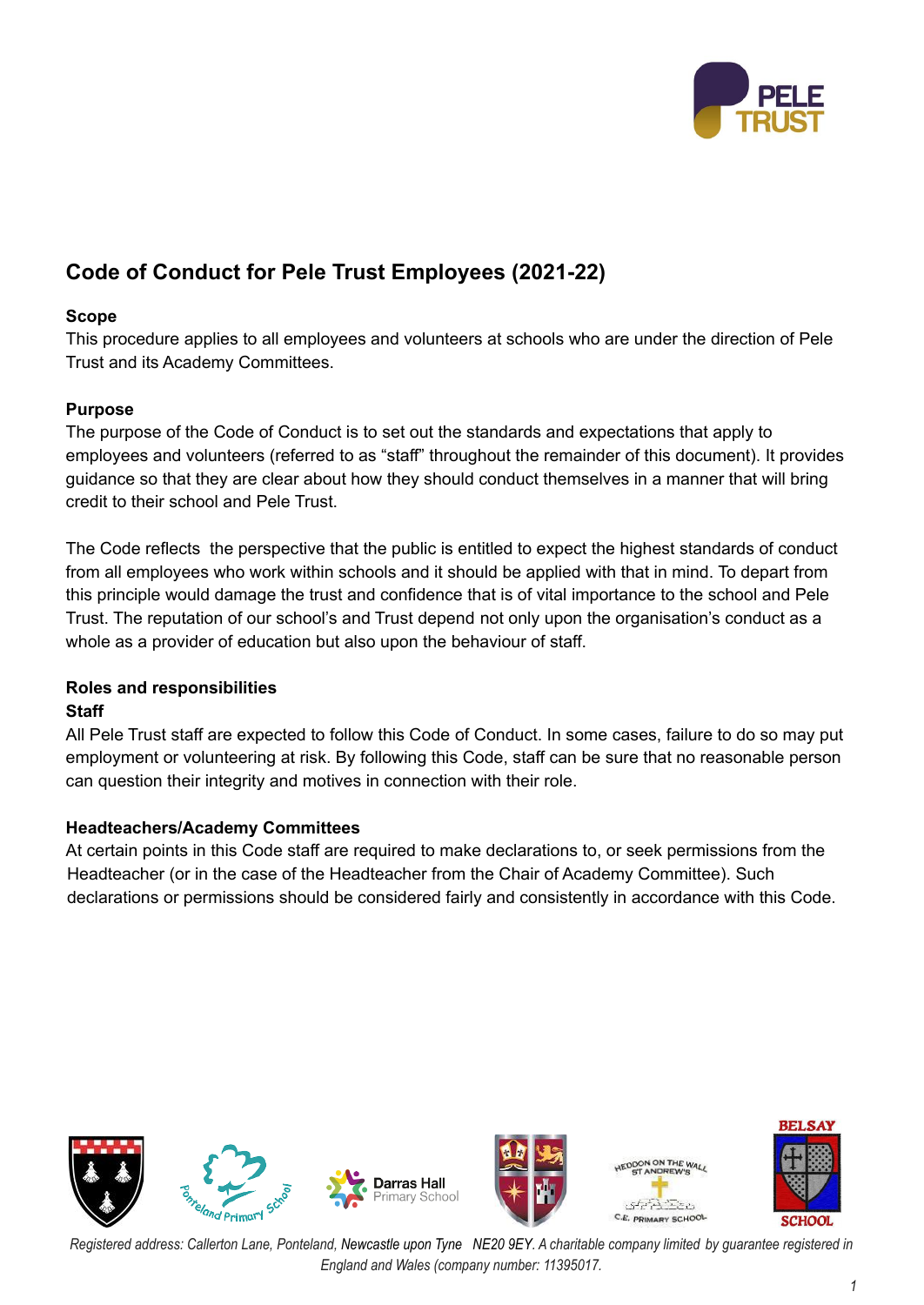

# **Code of Conduct for Pele Trust Employees (2021-22)**

# **Scope**

This procedure applies to all employees and volunteers at schools who are under the direction of Pele Trust and its Academy Committees.

# **Purpose**

The purpose of the Code of Conduct is to set out the standards and expectations that apply to employees and volunteers (referred to as "staff" throughout the remainder of this document). It provides guidance so that they are clear about how they should conduct themselves in a manner that will bring credit to their school and Pele Trust.

The Code reflects the perspective that the public is entitled to expect the highest standards of conduct from all employees who work within schools and it should be applied with that in mind. To depart from this principle would damage the trust and confidence that is of vital importance to the school and Pele Trust. The reputation of our school's and Trust depend not only upon the organisation's conduct as a whole as a provider of education but also upon the behaviour of staff.

# **Roles and responsibilities**

### **Staff**

All Pele Trust staff are expected to follow this Code of Conduct. In some cases, failure to do so may put employment or volunteering at risk. By following this Code, staff can be sure that no reasonable person can question their integrity and motives in connection with their role.

### **Headteachers/Academy Committees**

At certain points in this Code staff are required to make declarations to, or seek permissions from the Headteacher (or in the case of the Headteacher from the Chair of Academy Committee). Such declarations or permissions should be considered fairly and consistently in accordance with this Code.

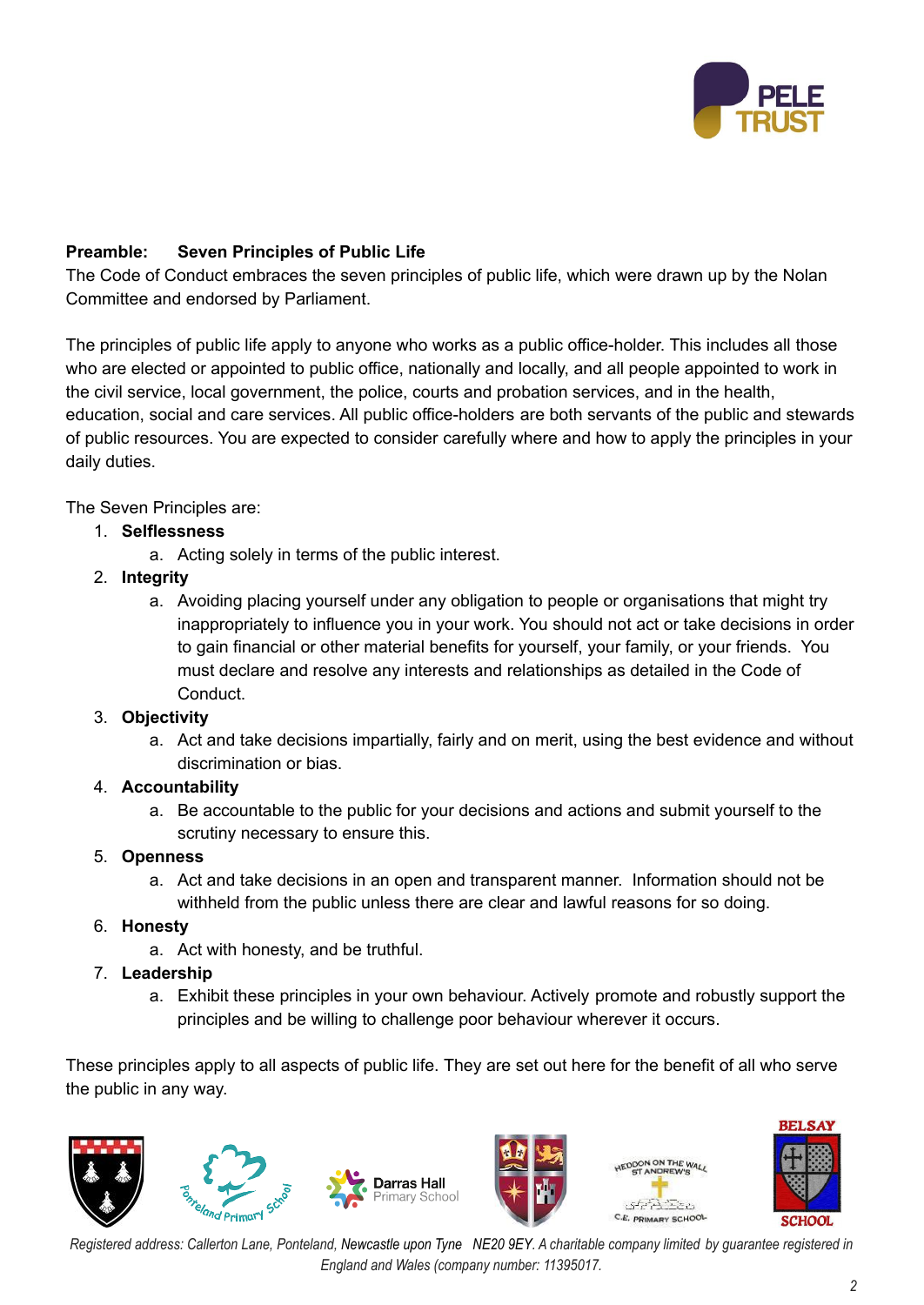

# **Preamble: Seven Principles of Public Life**

The Code of Conduct embraces the seven principles of public life, which were drawn up by the Nolan Committee and endorsed by Parliament.

The principles of public life apply to anyone who works as a public office-holder. This includes all those who are elected or appointed to public office, nationally and locally, and all people appointed to work in the civil service, local government, the police, courts and probation services, and in the health, education, social and care services. All public office-holders are both servants of the public and stewards of public resources. You are expected to consider carefully where and how to apply the principles in your daily duties.

The Seven Principles are:

- 1. **Selflessness**
	- a. Acting solely in terms of the public interest.
- 2. **Integrity**
	- a. Avoiding placing yourself under any obligation to people or organisations that might try inappropriately to influence you in your work. You should not act or take decisions in order to gain financial or other material benefits for yourself, your family, or your friends. You must declare and resolve any interests and relationships as detailed in the Code of Conduct.

# 3. **Objectivity**

a. Act and take decisions impartially, fairly and on merit, using the best evidence and without discrimination or bias.

### 4. **Accountability**

a. Be accountable to the public for your decisions and actions and submit yourself to the scrutiny necessary to ensure this.

### 5. **Openness**

a. Act and take decisions in an open and transparent manner. Information should not be withheld from the public unless there are clear and lawful reasons for so doing.

# 6. **Honesty**

a. Act with honesty, and be truthful.

# 7. **Leadership**

a. Exhibit these principles in your own behaviour. Actively promote and robustly support the principles and be willing to challenge poor behaviour wherever it occurs.

These principles apply to all aspects of public life. They are set out here for the benefit of all who serve the public in any way.



Registered address: Callerton Lane, Ponteland, Newcastle upon Tyne NE20 9EY. A charitable company limited by quarantee registered in *England and Wales (company number: 11395017.*

**BELSAY**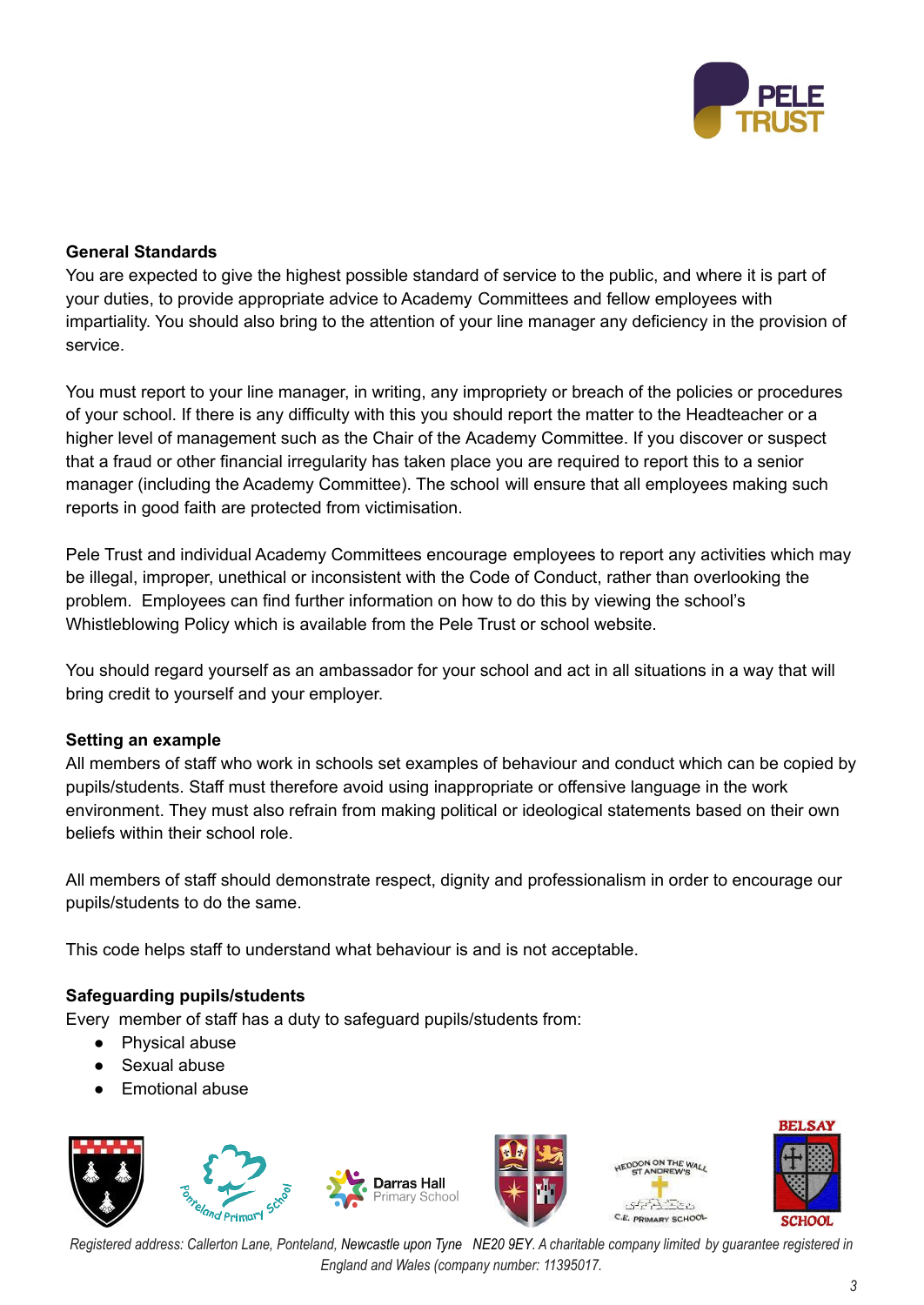

# **General Standards**

You are expected to give the highest possible standard of service to the public, and where it is part of your duties, to provide appropriate advice to Academy Committees and fellow employees with impartiality. You should also bring to the attention of your line manager any deficiency in the provision of service.

You must report to your line manager, in writing, any impropriety or breach of the policies or procedures of your school. If there is any difficulty with this you should report the matter to the Headteacher or a higher level of management such as the Chair of the Academy Committee. If you discover or suspect that a fraud or other financial irregularity has taken place you are required to report this to a senior manager (including the Academy Committee). The school will ensure that all employees making such reports in good faith are protected from victimisation.

Pele Trust and individual Academy Committees encourage employees to report any activities which may be illegal, improper, unethical or inconsistent with the Code of Conduct, rather than overlooking the problem. Employees can find further information on how to do this by viewing the school's Whistleblowing Policy which is available from the Pele Trust or school website.

You should regard yourself as an ambassador for your school and act in all situations in a way that will bring credit to yourself and your employer.

### **Setting an example**

All members of staff who work in schools set examples of behaviour and conduct which can be copied by pupils/students. Staff must therefore avoid using inappropriate or offensive language in the work environment. They must also refrain from making political or ideological statements based on their own beliefs within their school role.

All members of staff should demonstrate respect, dignity and professionalism in order to encourage our pupils/students to do the same.

This code helps staff to understand what behaviour is and is not acceptable.

### **Safeguarding pupils/students**

Every member of staff has a duty to safeguard pupils/students from:

- Physical abuse
- Sexual abuse
- **Emotional abuse**



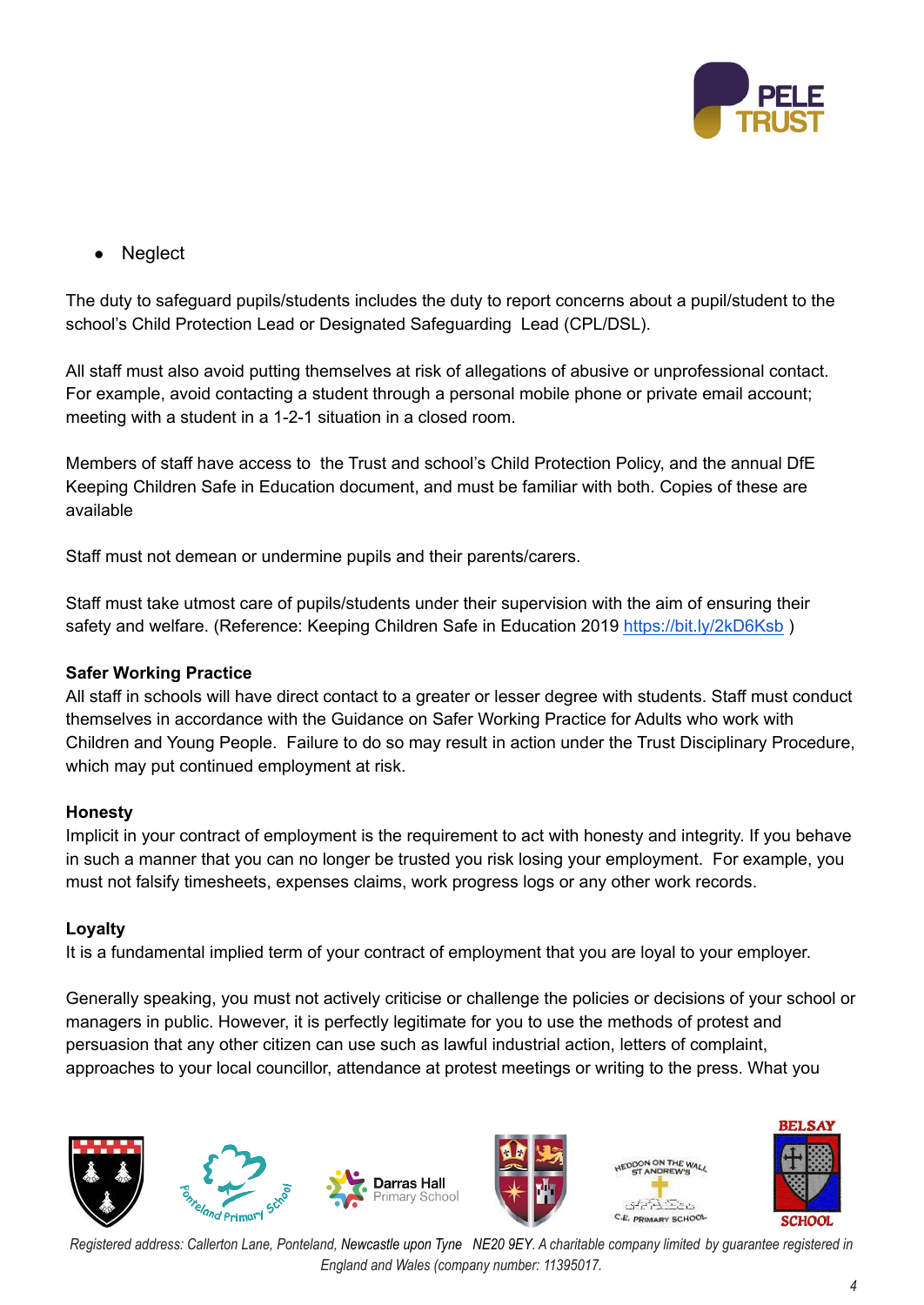

**Neglect** 

The duty to safeguard pupils/students includes the duty to report concerns about a pupil/student to the school's Child Protection Lead or Designated Safeguarding Lead (CPL/DSL).

All staff must also avoid putting themselves at risk of allegations of abusive or unprofessional contact. For example, avoid contacting a student through a personal mobile phone or private email account; meeting with a student in a 1-2-1 situation in a closed room.

Members of staff have access to the Trust and school's Child Protection Policy, and the annual DfE Keeping Children Safe in Education document, and must be familiar with both. Copies of these are available

Staff must not demean or undermine pupils and their parents/carers.

Staff must take utmost care of pupils/students under their supervision with the aim of ensuring their safety and welfare. (Reference: Keeping Children Safe in Education 2019 <https://bit.ly/2kD6Ksb>)

### **Safer Working Practice**

All staff in schools will have direct contact to a greater or lesser degree with students. Staff must conduct themselves in accordance with the Guidance on Safer Working Practice for Adults who work with Children and Young People. Failure to do so may result in action under the Trust Disciplinary Procedure, which may put continued employment at risk.

### **Honesty**

Implicit in your contract of employment is the requirement to act with honesty and integrity. If you behave in such a manner that you can no longer be trusted you risk losing your employment. For example, you must not falsify timesheets, expenses claims, work progress logs or any other work records.

### **Loyalty**

It is a fundamental implied term of your contract of employment that you are loyal to your employer.

Generally speaking, you must not actively criticise or challenge the policies or decisions of your school or managers in public. However, it is perfectly legitimate for you to use the methods of protest and persuasion that any other citizen can use such as lawful industrial action, letters of complaint, approaches to your local councillor, attendance at protest meetings or writing to the press. What you



Registered address: Callerton Lane, Ponteland, Newcastle upon Tyne NE20 9EY. A charitable company limited by quarantee registered in *England and Wales (company number: 11395017.*

**BELSAY**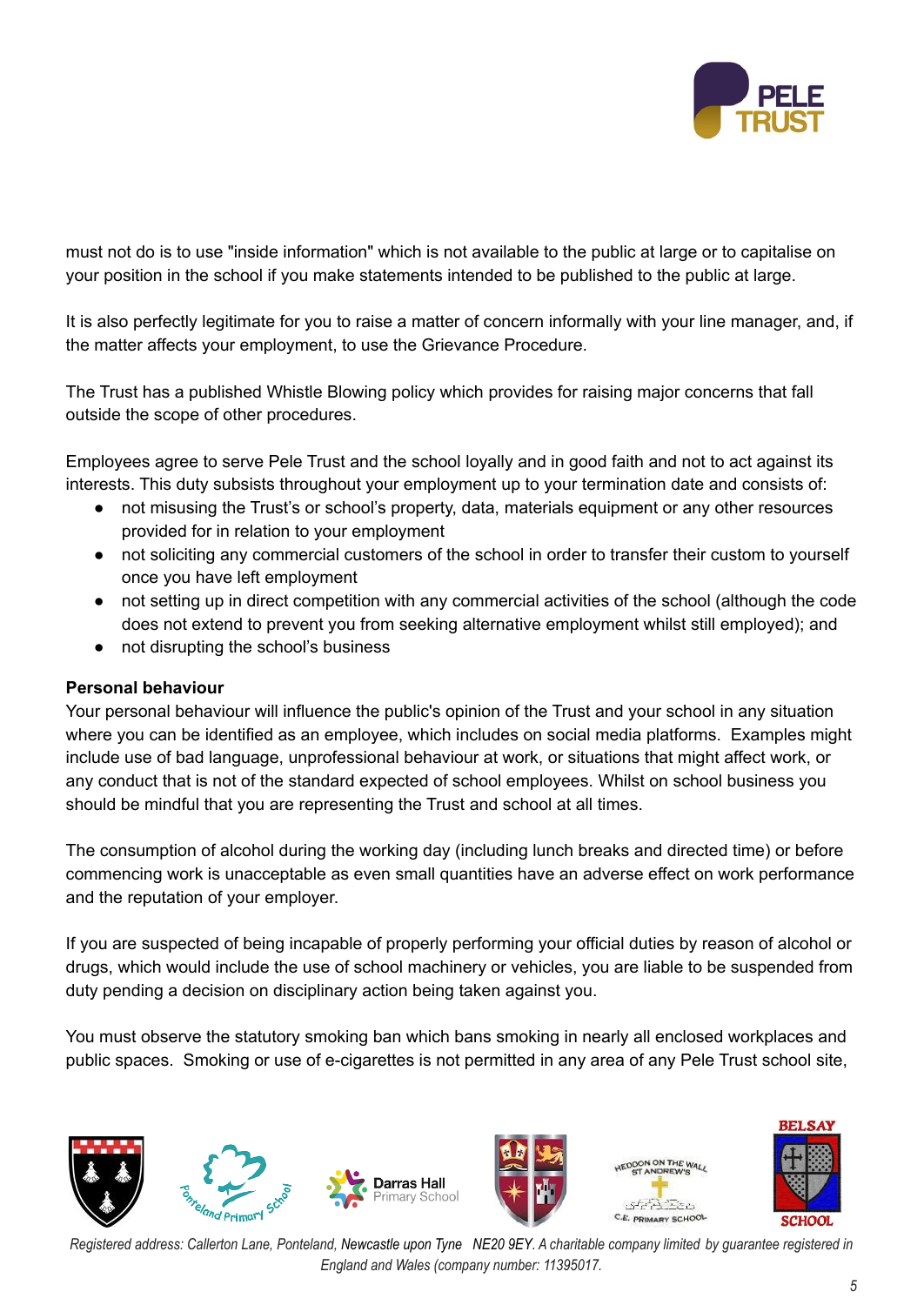

must not do is to use "inside information" which is not available to the public at large or to capitalise on your position in the school if you make statements intended to be published to the public at large.

It is also perfectly legitimate for you to raise a matter of concern informally with your line manager, and, if the matter affects your employment, to use the Grievance Procedure.

The Trust has a published Whistle Blowing policy which provides for raising major concerns that fall outside the scope of other procedures.

Employees agree to serve Pele Trust and the school loyally and in good faith and not to act against its interests. This duty subsists throughout your employment up to your termination date and consists of:

- not misusing the Trust's or school's property, data, materials equipment or any other resources provided for in relation to your employment
- not soliciting any commercial customers of the school in order to transfer their custom to yourself once you have left employment
- not setting up in direct competition with any commercial activities of the school (although the code does not extend to prevent you from seeking alternative employment whilst still employed); and
- not disrupting the school's business

### **Personal behaviour**

Your personal behaviour will influence the public's opinion of the Trust and your school in any situation where you can be identified as an employee, which includes on social media platforms. Examples might include use of bad language, unprofessional behaviour at work, or situations that might affect work, or any conduct that is not of the standard expected of school employees. Whilst on school business you should be mindful that you are representing the Trust and school at all times.

The consumption of alcohol during the working day (including lunch breaks and directed time) or before commencing work is unacceptable as even small quantities have an adverse effect on work performance and the reputation of your employer.

If you are suspected of being incapable of properly performing your official duties by reason of alcohol or drugs, which would include the use of school machinery or vehicles, you are liable to be suspended from duty pending a decision on disciplinary action being taken against you.

You must observe the statutory smoking ban which bans smoking in nearly all enclosed workplaces and public spaces. Smoking or use of e-cigarettes is not permitted in any area of any Pele Trust school site,

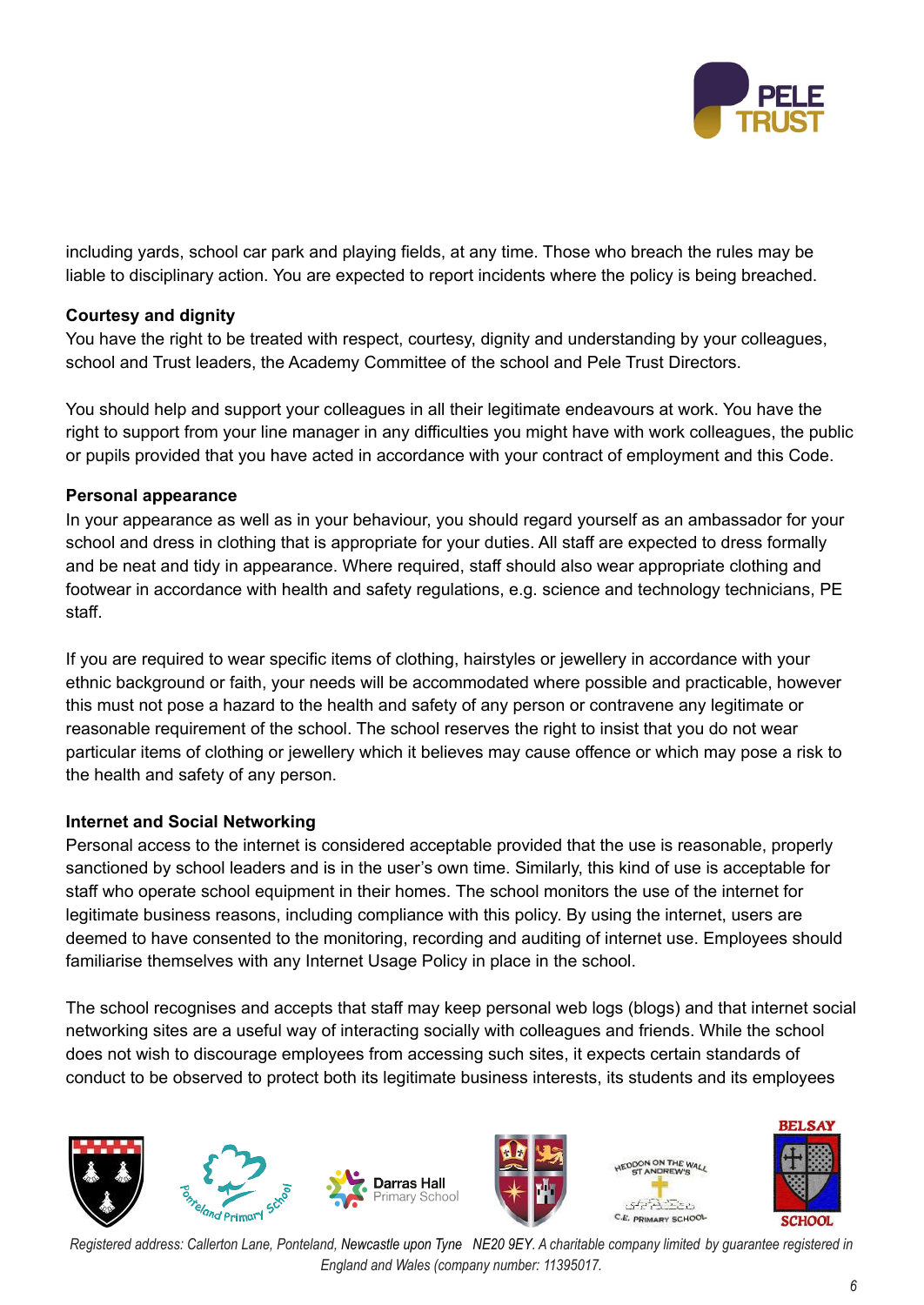

including yards, school car park and playing fields, at any time. Those who breach the rules may be liable to disciplinary action. You are expected to report incidents where the policy is being breached.

### **Courtesy and dignity**

You have the right to be treated with respect, courtesy, dignity and understanding by your colleagues, school and Trust leaders, the Academy Committee of the school and Pele Trust Directors.

You should help and support your colleagues in all their legitimate endeavours at work. You have the right to support from your line manager in any difficulties you might have with work colleagues, the public or pupils provided that you have acted in accordance with your contract of employment and this Code.

### **Personal appearance**

In your appearance as well as in your behaviour, you should regard yourself as an ambassador for your school and dress in clothing that is appropriate for your duties. All staff are expected to dress formally and be neat and tidy in appearance. Where required, staff should also wear appropriate clothing and footwear in accordance with health and safety regulations, e.g. science and technology technicians, PE staff.

If you are required to wear specific items of clothing, hairstyles or jewellery in accordance with your ethnic background or faith, your needs will be accommodated where possible and practicable, however this must not pose a hazard to the health and safety of any person or contravene any legitimate or reasonable requirement of the school. The school reserves the right to insist that you do not wear particular items of clothing or jewellery which it believes may cause offence or which may pose a risk to the health and safety of any person.

### **Internet and Social Networking**

Personal access to the internet is considered acceptable provided that the use is reasonable, properly sanctioned by school leaders and is in the user's own time. Similarly, this kind of use is acceptable for staff who operate school equipment in their homes. The school monitors the use of the internet for legitimate business reasons, including compliance with this policy. By using the internet, users are deemed to have consented to the monitoring, recording and auditing of internet use. Employees should familiarise themselves with any Internet Usage Policy in place in the school.

The school recognises and accepts that staff may keep personal web logs (blogs) and that internet social networking sites are a useful way of interacting socially with colleagues and friends. While the school does not wish to discourage employees from accessing such sites, it expects certain standards of conduct to be observed to protect both its legitimate business interests, its students and its employees



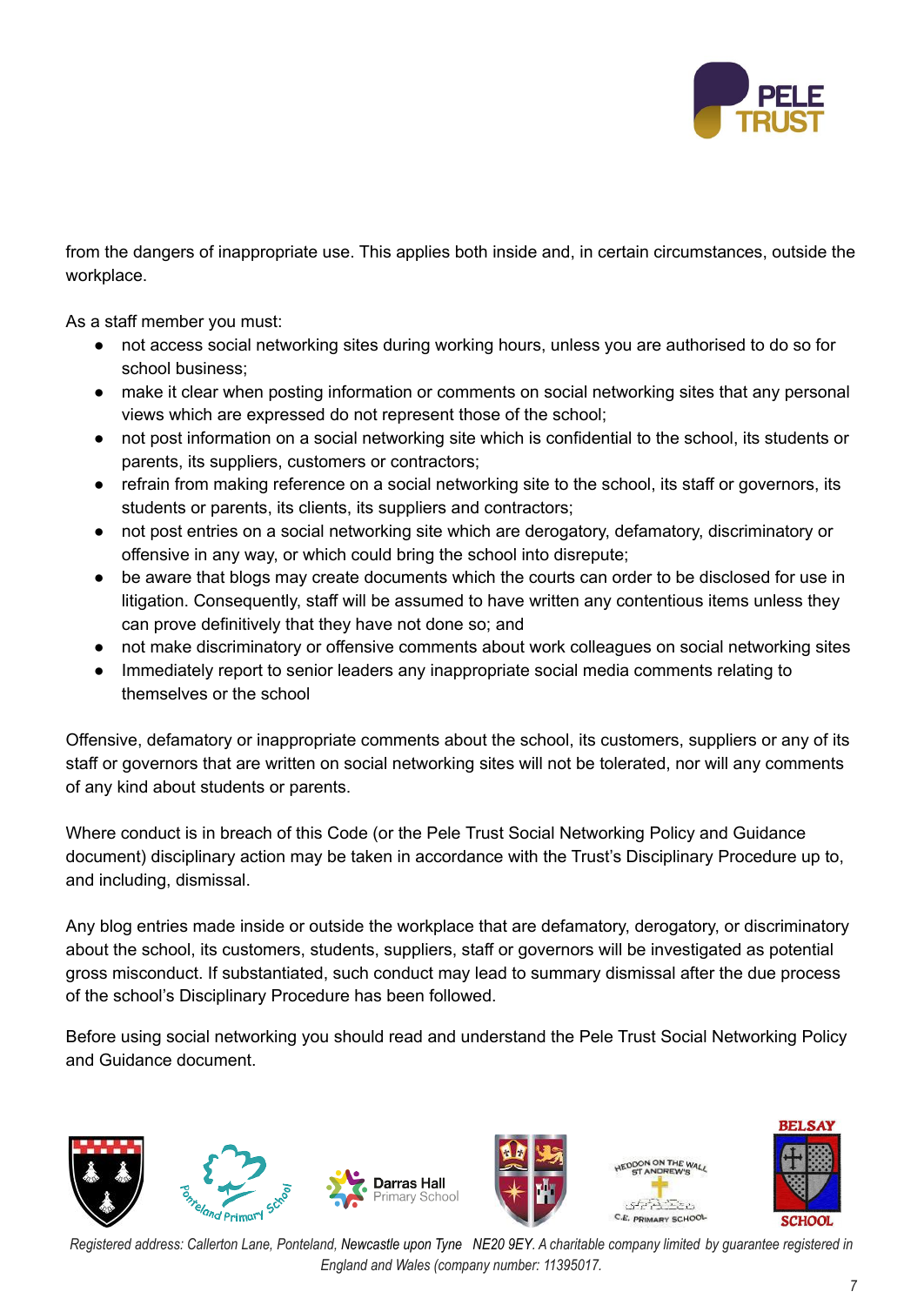

from the dangers of inappropriate use. This applies both inside and, in certain circumstances, outside the workplace.

As a staff member you must:

- not access social networking sites during working hours, unless you are authorised to do so for school business;
- make it clear when posting information or comments on social networking sites that any personal views which are expressed do not represent those of the school;
- not post information on a social networking site which is confidential to the school, its students or parents, its suppliers, customers or contractors;
- refrain from making reference on a social networking site to the school, its staff or governors, its students or parents, its clients, its suppliers and contractors;
- not post entries on a social networking site which are derogatory, defamatory, discriminatory or offensive in any way, or which could bring the school into disrepute;
- be aware that blogs may create documents which the courts can order to be disclosed for use in litigation. Consequently, staff will be assumed to have written any contentious items unless they can prove definitively that they have not done so; and
- not make discriminatory or offensive comments about work colleagues on social networking sites
- Immediately report to senior leaders any inappropriate social media comments relating to themselves or the school

Offensive, defamatory or inappropriate comments about the school, its customers, suppliers or any of its staff or governors that are written on social networking sites will not be tolerated, nor will any comments of any kind about students or parents.

Where conduct is in breach of this Code (or the Pele Trust Social Networking Policy and Guidance document) disciplinary action may be taken in accordance with the Trust's Disciplinary Procedure up to, and including, dismissal.

Any blog entries made inside or outside the workplace that are defamatory, derogatory, or discriminatory about the school, its customers, students, suppliers, staff or governors will be investigated as potential gross misconduct. If substantiated, such conduct may lead to summary dismissal after the due process of the school's Disciplinary Procedure has been followed.

Before using social networking you should read and understand the Pele Trust Social Networking Policy and Guidance document.



Registered address: Callerton Lane, Ponteland, Newcastle upon Tyne NE20 9EY. A charitable company limited by guarantee registered in *England and Wales (company number: 11395017.*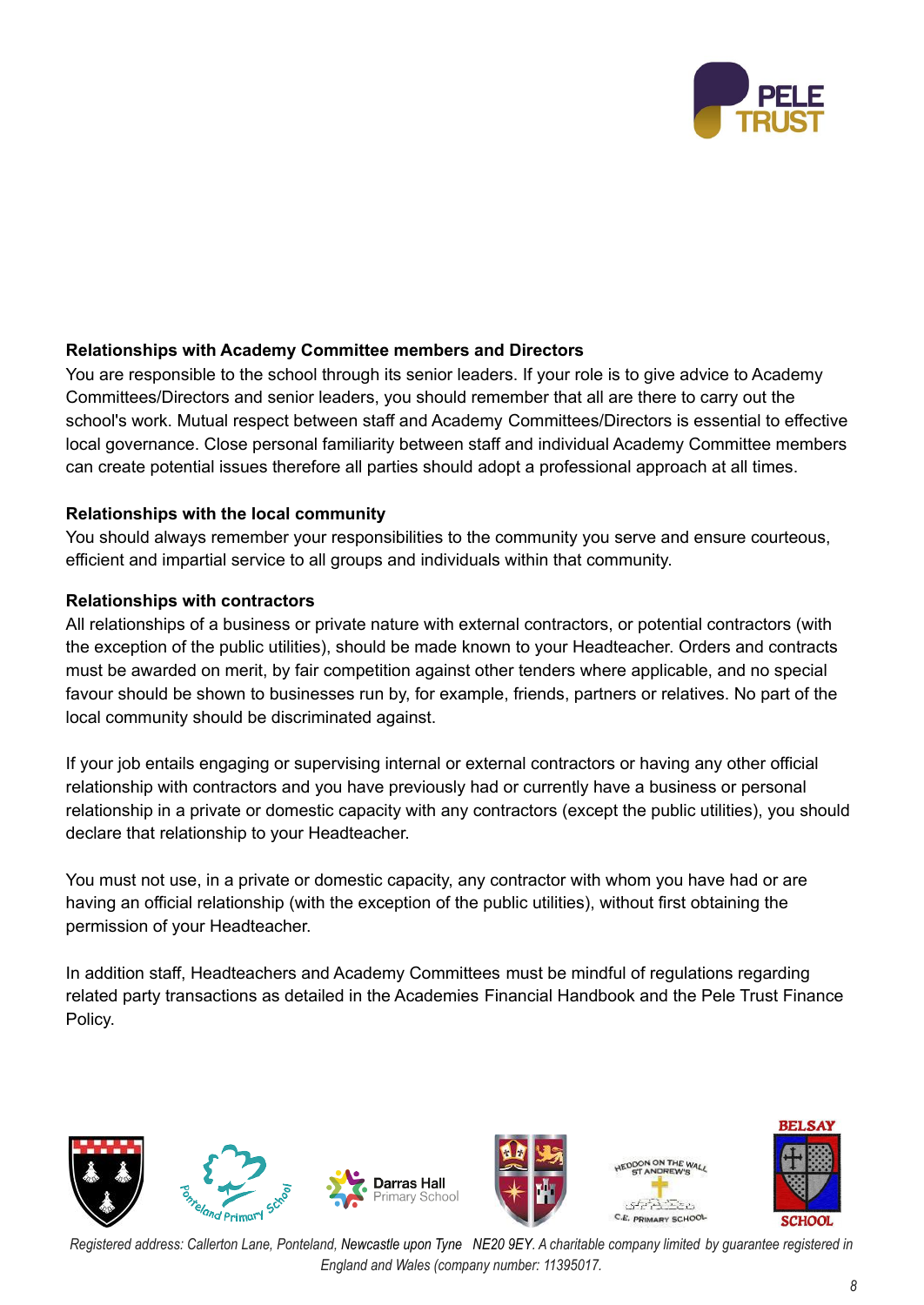

# **Relationships with Academy Committee members and Directors**

You are responsible to the school through its senior leaders. If your role is to give advice to Academy Committees/Directors and senior leaders, you should remember that all are there to carry out the school's work. Mutual respect between staff and Academy Committees/Directors is essential to effective local governance. Close personal familiarity between staff and individual Academy Committee members can create potential issues therefore all parties should adopt a professional approach at all times.

#### **Relationships with the local community**

You should always remember your responsibilities to the community you serve and ensure courteous, efficient and impartial service to all groups and individuals within that community.

#### **Relationships with contractors**

All relationships of a business or private nature with external contractors, or potential contractors (with the exception of the public utilities), should be made known to your Headteacher. Orders and contracts must be awarded on merit, by fair competition against other tenders where applicable, and no special favour should be shown to businesses run by, for example, friends, partners or relatives. No part of the local community should be discriminated against.

If your job entails engaging or supervising internal or external contractors or having any other official relationship with contractors and you have previously had or currently have a business or personal relationship in a private or domestic capacity with any contractors (except the public utilities), you should declare that relationship to your Headteacher.

You must not use, in a private or domestic capacity, any contractor with whom you have had or are having an official relationship (with the exception of the public utilities), without first obtaining the permission of your Headteacher.

In addition staff, Headteachers and Academy Committees must be mindful of regulations regarding related party transactions as detailed in the Academies Financial Handbook and the Pele Trust Finance Policy.

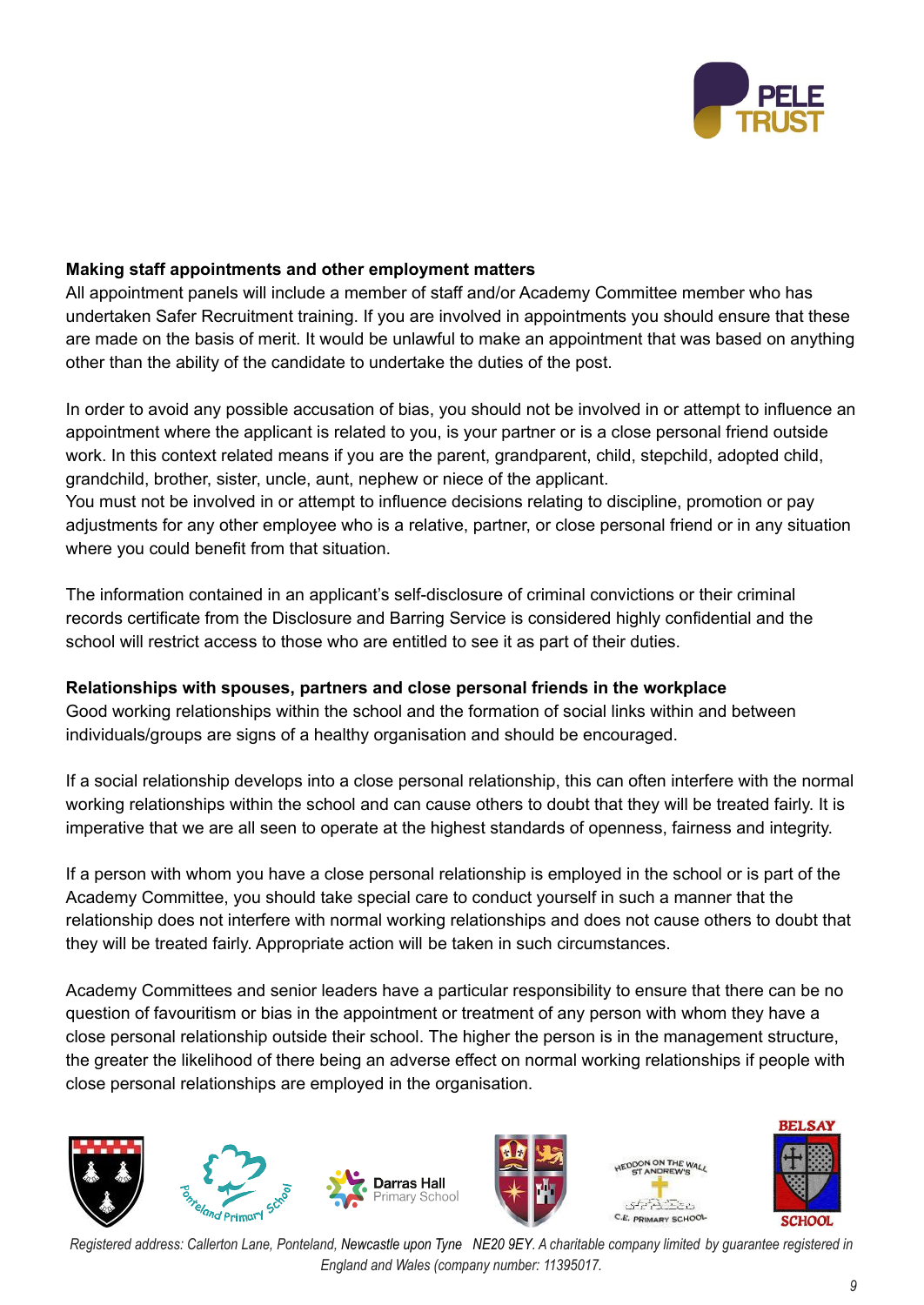

# **Making staff appointments and other employment matters**

All appointment panels will include a member of staff and/or Academy Committee member who has undertaken Safer Recruitment training. If you are involved in appointments you should ensure that these are made on the basis of merit. It would be unlawful to make an appointment that was based on anything other than the ability of the candidate to undertake the duties of the post.

In order to avoid any possible accusation of bias, you should not be involved in or attempt to influence an appointment where the applicant is related to you, is your partner or is a close personal friend outside work. In this context related means if you are the parent, grandparent, child, stepchild, adopted child, grandchild, brother, sister, uncle, aunt, nephew or niece of the applicant.

You must not be involved in or attempt to influence decisions relating to discipline, promotion or pay adjustments for any other employee who is a relative, partner, or close personal friend or in any situation where you could benefit from that situation.

The information contained in an applicant's self-disclosure of criminal convictions or their criminal records certificate from the Disclosure and Barring Service is considered highly confidential and the school will restrict access to those who are entitled to see it as part of their duties.

### **Relationships with spouses, partners and close personal friends in the workplace**

Good working relationships within the school and the formation of social links within and between individuals/groups are signs of a healthy organisation and should be encouraged.

If a social relationship develops into a close personal relationship, this can often interfere with the normal working relationships within the school and can cause others to doubt that they will be treated fairly. It is imperative that we are all seen to operate at the highest standards of openness, fairness and integrity.

If a person with whom you have a close personal relationship is employed in the school or is part of the Academy Committee, you should take special care to conduct yourself in such a manner that the relationship does not interfere with normal working relationships and does not cause others to doubt that they will be treated fairly. Appropriate action will be taken in such circumstances.

Academy Committees and senior leaders have a particular responsibility to ensure that there can be no question of favouritism or bias in the appointment or treatment of any person with whom they have a close personal relationship outside their school. The higher the person is in the management structure, the greater the likelihood of there being an adverse effect on normal working relationships if people with close personal relationships are employed in the organisation.





Registered address: Callerton Lane, Ponteland, Newcastle upon Tyne NE20 9EY. A charitable company limited by quarantee registered in *England and Wales (company number: 11395017.*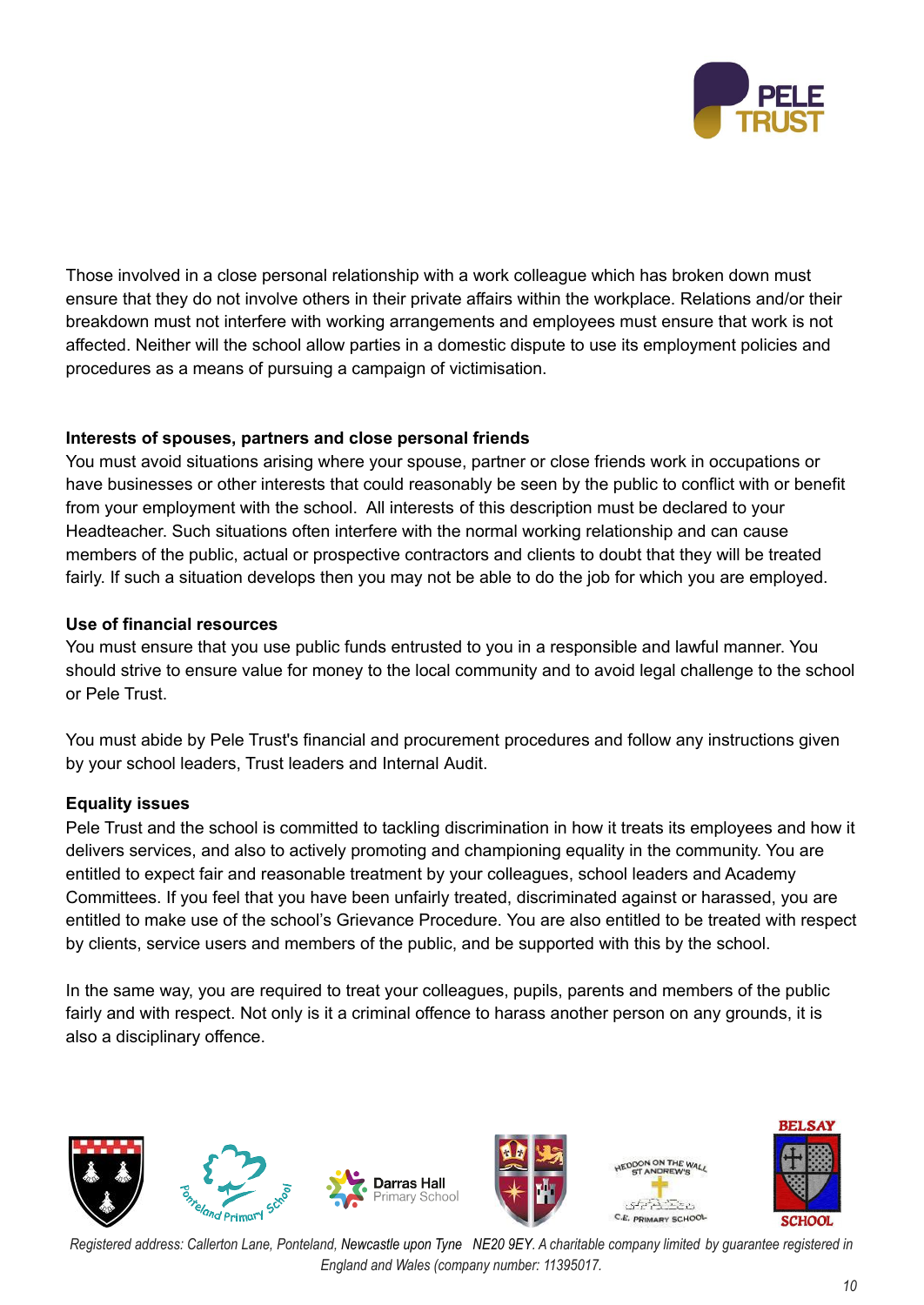

Those involved in a close personal relationship with a work colleague which has broken down must ensure that they do not involve others in their private affairs within the workplace. Relations and/or their breakdown must not interfere with working arrangements and employees must ensure that work is not affected. Neither will the school allow parties in a domestic dispute to use its employment policies and procedures as a means of pursuing a campaign of victimisation.

# **Interests of spouses, partners and close personal friends**

You must avoid situations arising where your spouse, partner or close friends work in occupations or have businesses or other interests that could reasonably be seen by the public to conflict with or benefit from your employment with the school. All interests of this description must be declared to your Headteacher. Such situations often interfere with the normal working relationship and can cause members of the public, actual or prospective contractors and clients to doubt that they will be treated fairly. If such a situation develops then you may not be able to do the job for which you are employed.

# **Use of financial resources**

You must ensure that you use public funds entrusted to you in a responsible and lawful manner. You should strive to ensure value for money to the local community and to avoid legal challenge to the school or Pele Trust.

You must abide by Pele Trust's financial and procurement procedures and follow any instructions given by your school leaders, Trust leaders and Internal Audit.

# **Equality issues**

Pele Trust and the school is committed to tackling discrimination in how it treats its employees and how it delivers services, and also to actively promoting and championing equality in the community. You are entitled to expect fair and reasonable treatment by your colleagues, school leaders and Academy Committees. If you feel that you have been unfairly treated, discriminated against or harassed, you are entitled to make use of the school's Grievance Procedure. You are also entitled to be treated with respect by clients, service users and members of the public, and be supported with this by the school.

In the same way, you are required to treat your colleagues, pupils, parents and members of the public fairly and with respect. Not only is it a criminal offence to harass another person on any grounds, it is also a disciplinary offence.

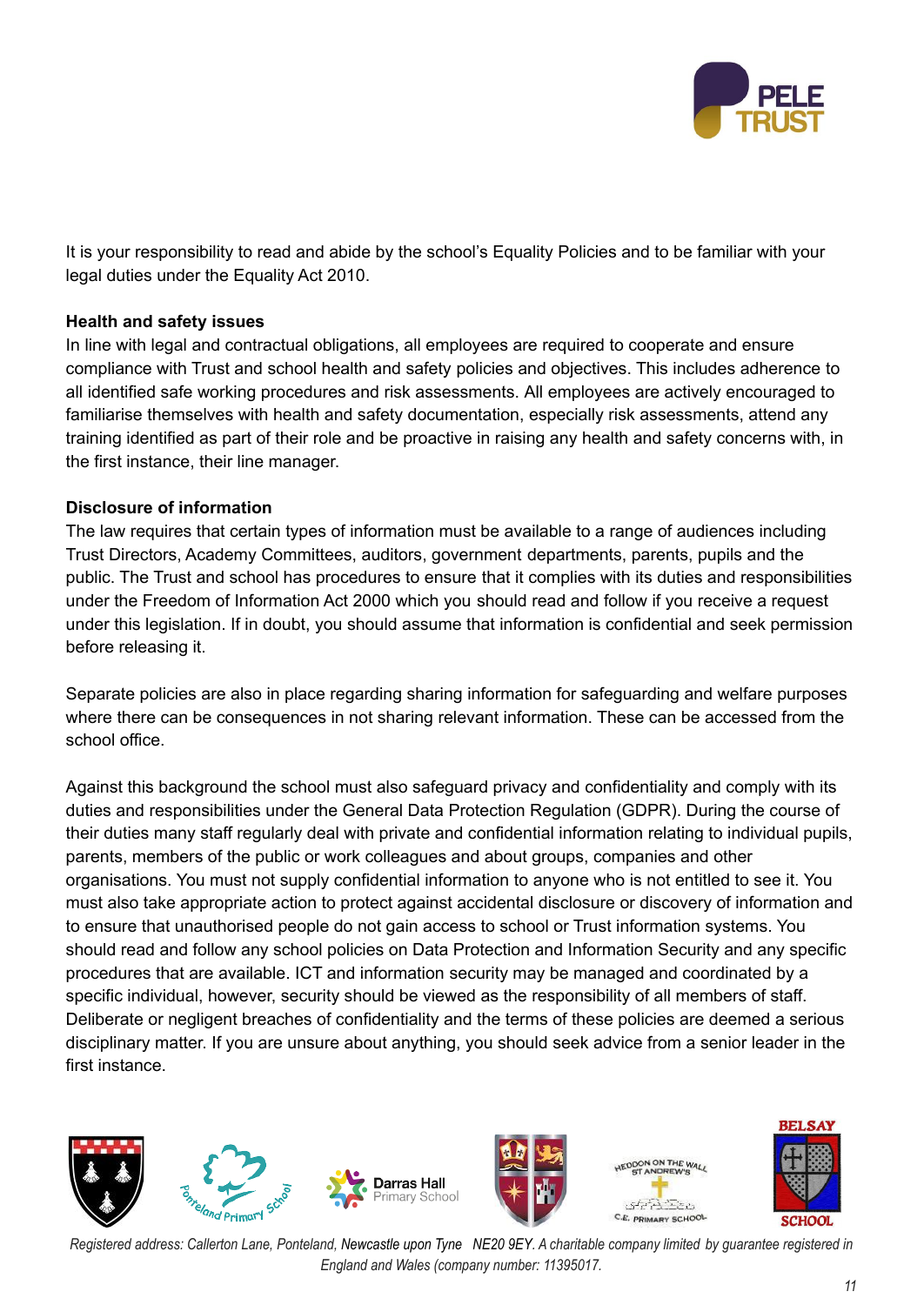

It is your responsibility to read and abide by the school's Equality Policies and to be familiar with your legal duties under the Equality Act 2010.

### **Health and safety issues**

In line with legal and contractual obligations, all employees are required to cooperate and ensure compliance with Trust and school health and safety policies and objectives. This includes adherence to all identified safe working procedures and risk assessments. All employees are actively encouraged to familiarise themselves with health and safety documentation, especially risk assessments, attend any training identified as part of their role and be proactive in raising any health and safety concerns with, in the first instance, their line manager.

# **Disclosure of information**

The law requires that certain types of information must be available to a range of audiences including Trust Directors, Academy Committees, auditors, government departments, parents, pupils and the public. The Trust and school has procedures to ensure that it complies with its duties and responsibilities under the Freedom of Information Act 2000 which you should read and follow if you receive a request under this legislation. If in doubt, you should assume that information is confidential and seek permission before releasing it.

Separate policies are also in place regarding sharing information for safeguarding and welfare purposes where there can be consequences in not sharing relevant information. These can be accessed from the school office.

Against this background the school must also safeguard privacy and confidentiality and comply with its duties and responsibilities under the General Data Protection Regulation (GDPR). During the course of their duties many staff regularly deal with private and confidential information relating to individual pupils, parents, members of the public or work colleagues and about groups, companies and other organisations. You must not supply confidential information to anyone who is not entitled to see it. You must also take appropriate action to protect against accidental disclosure or discovery of information and to ensure that unauthorised people do not gain access to school or Trust information systems. You should read and follow any school policies on Data Protection and Information Security and any specific procedures that are available. ICT and information security may be managed and coordinated by a specific individual, however, security should be viewed as the responsibility of all members of staff. Deliberate or negligent breaches of confidentiality and the terms of these policies are deemed a serious disciplinary matter. If you are unsure about anything, you should seek advice from a senior leader in the first instance.



Registered address: Callerton Lane, Ponteland, Newcastle upon Tyne NE20 9EY. A charitable company limited by quarantee registered in *England and Wales (company number: 11395017.*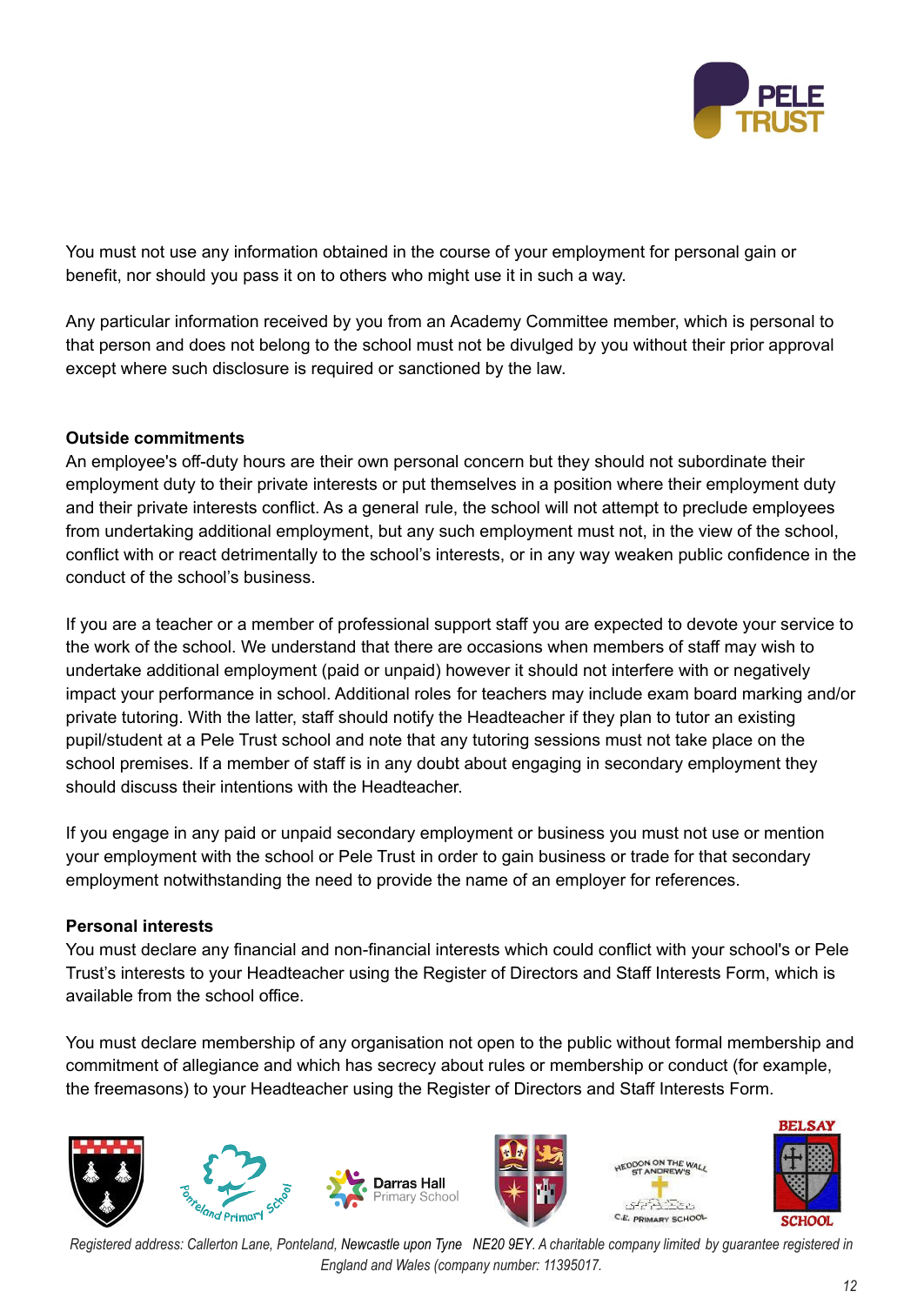

You must not use any information obtained in the course of your employment for personal gain or benefit, nor should you pass it on to others who might use it in such a way.

Any particular information received by you from an Academy Committee member, which is personal to that person and does not belong to the school must not be divulged by you without their prior approval except where such disclosure is required or sanctioned by the law.

# **Outside commitments**

An employee's off-duty hours are their own personal concern but they should not subordinate their employment duty to their private interests or put themselves in a position where their employment duty and their private interests conflict. As a general rule, the school will not attempt to preclude employees from undertaking additional employment, but any such employment must not, in the view of the school, conflict with or react detrimentally to the school's interests, or in any way weaken public confidence in the conduct of the school's business.

If you are a teacher or a member of professional support staff you are expected to devote your service to the work of the school. We understand that there are occasions when members of staff may wish to undertake additional employment (paid or unpaid) however it should not interfere with or negatively impact your performance in school. Additional roles for teachers may include exam board marking and/or private tutoring. With the latter, staff should notify the Headteacher if they plan to tutor an existing pupil/student at a Pele Trust school and note that any tutoring sessions must not take place on the school premises. If a member of staff is in any doubt about engaging in secondary employment they should discuss their intentions with the Headteacher.

If you engage in any paid or unpaid secondary employment or business you must not use or mention your employment with the school or Pele Trust in order to gain business or trade for that secondary employment notwithstanding the need to provide the name of an employer for references.

### **Personal interests**

You must declare any financial and non-financial interests which could conflict with your school's or Pele Trust's interests to your Headteacher using the Register of Directors and Staff Interests Form, which is available from the school office.

You must declare membership of any organisation not open to the public without formal membership and commitment of allegiance and which has secrecy about rules or membership or conduct (for example, the freemasons) to your Headteacher using the Register of Directors and Staff Interests Form.





C.E. PRIMARY SCHOOL

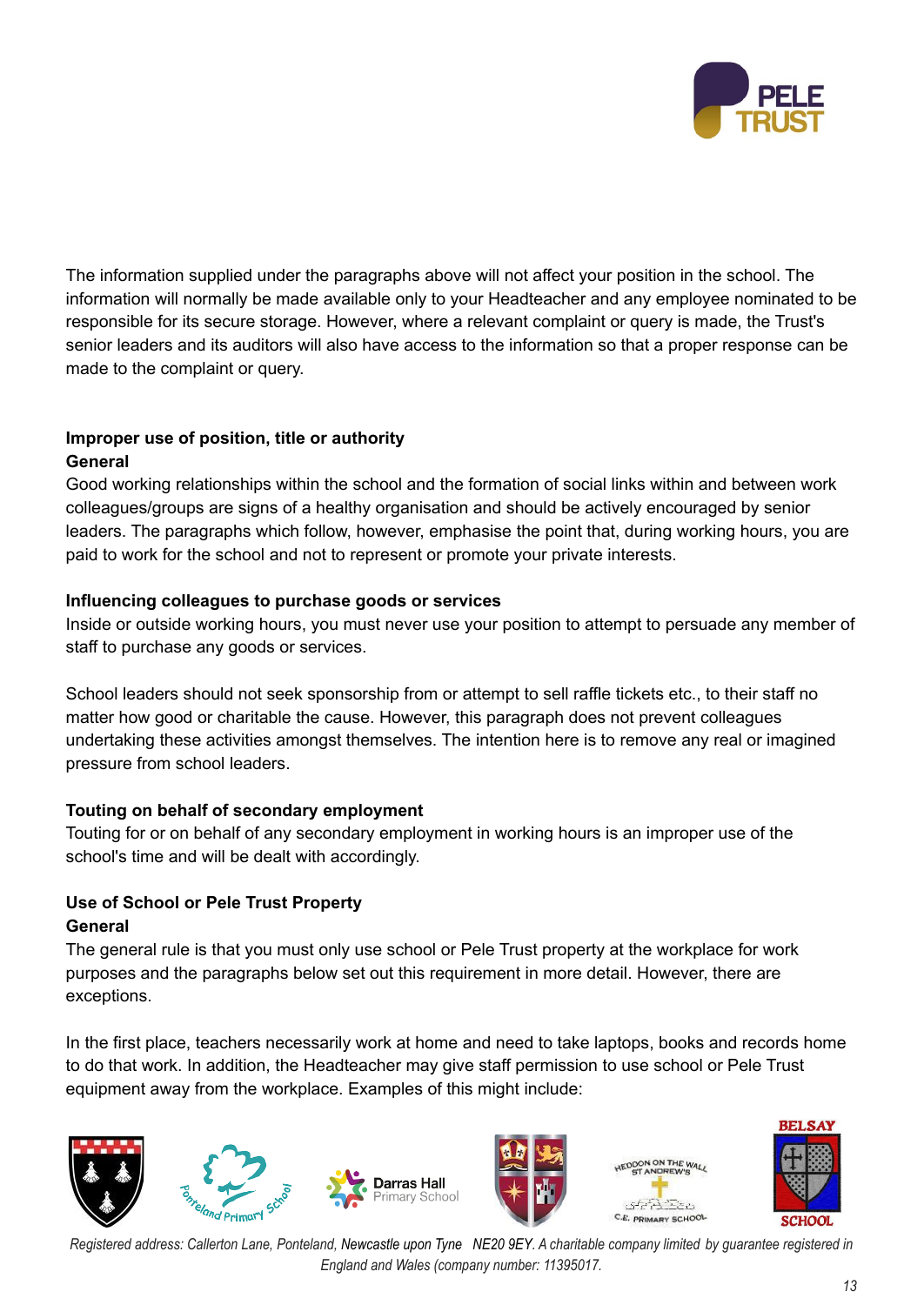

The information supplied under the paragraphs above will not affect your position in the school. The information will normally be made available only to your Headteacher and any employee nominated to be responsible for its secure storage. However, where a relevant complaint or query is made, the Trust's senior leaders and its auditors will also have access to the information so that a proper response can be made to the complaint or query.

# **Improper use of position, title or authority General**

Good working relationships within the school and the formation of social links within and between work colleagues/groups are signs of a healthy organisation and should be actively encouraged by senior leaders. The paragraphs which follow, however, emphasise the point that, during working hours, you are paid to work for the school and not to represent or promote your private interests.

# **Influencing colleagues to purchase goods or services**

Inside or outside working hours, you must never use your position to attempt to persuade any member of staff to purchase any goods or services.

School leaders should not seek sponsorship from or attempt to sell raffle tickets etc., to their staff no matter how good or charitable the cause. However, this paragraph does not prevent colleagues undertaking these activities amongst themselves. The intention here is to remove any real or imagined pressure from school leaders.

# **Touting on behalf of secondary employment**

Touting for or on behalf of any secondary employment in working hours is an improper use of the school's time and will be dealt with accordingly.

# **Use of School or Pele Trust Property General**

The general rule is that you must only use school or Pele Trust property at the workplace for work purposes and the paragraphs below set out this requirement in more detail. However, there are exceptions.

In the first place, teachers necessarily work at home and need to take laptops, books and records home to do that work. In addition, the Headteacher may give staff permission to use school or Pele Trust equipment away from the workplace. Examples of this might include:

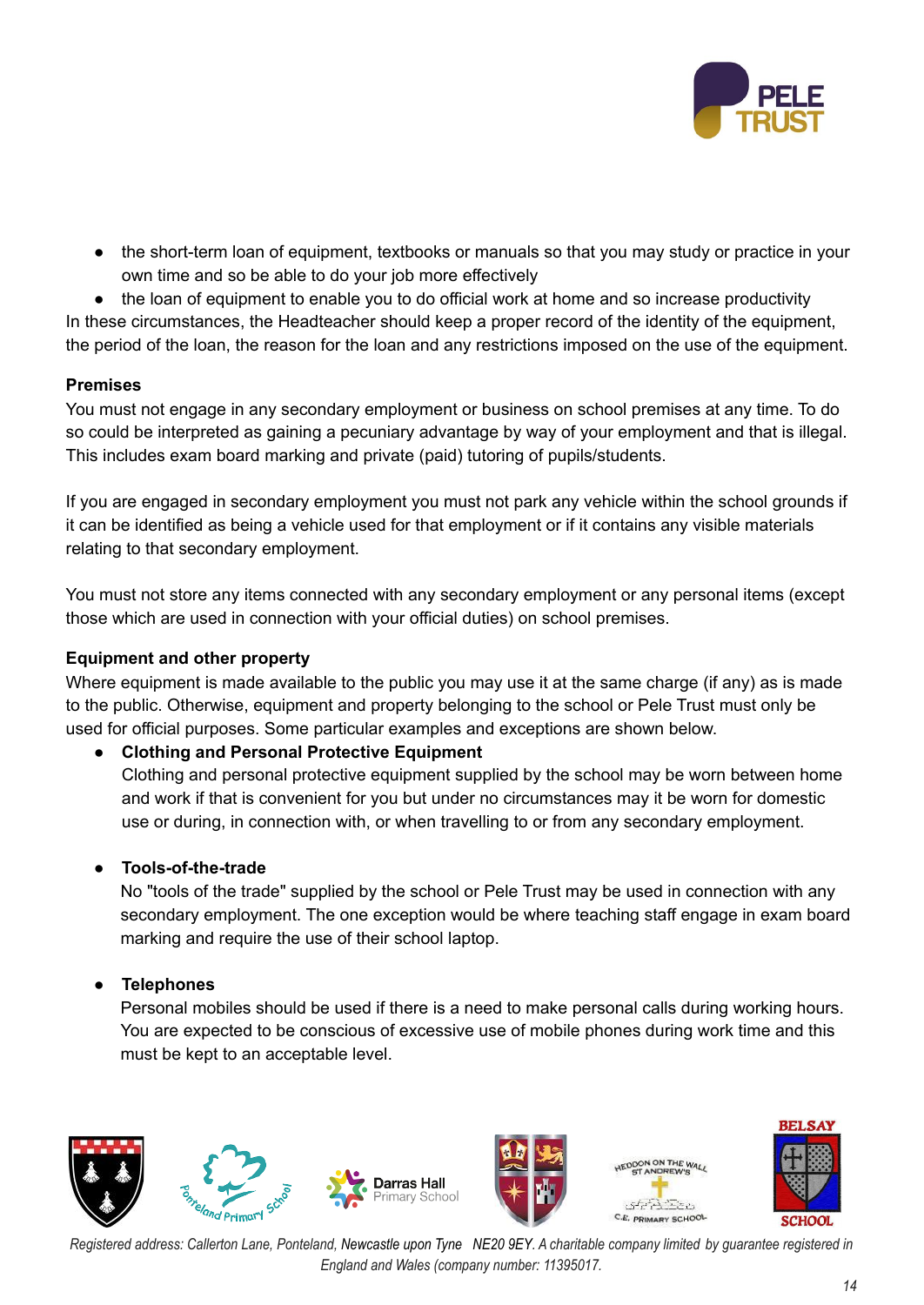

• the short-term loan of equipment, textbooks or manuals so that you may study or practice in your own time and so be able to do your job more effectively

• the loan of equipment to enable you to do official work at home and so increase productivity In these circumstances, the Headteacher should keep a proper record of the identity of the equipment, the period of the loan, the reason for the loan and any restrictions imposed on the use of the equipment.

### **Premises**

You must not engage in any secondary employment or business on school premises at any time. To do so could be interpreted as gaining a pecuniary advantage by way of your employment and that is illegal. This includes exam board marking and private (paid) tutoring of pupils/students.

If you are engaged in secondary employment you must not park any vehicle within the school grounds if it can be identified as being a vehicle used for that employment or if it contains any visible materials relating to that secondary employment.

You must not store any items connected with any secondary employment or any personal items (except those which are used in connection with your official duties) on school premises.

### **Equipment and other property**

Where equipment is made available to the public you may use it at the same charge (if any) as is made to the public. Otherwise, equipment and property belonging to the school or Pele Trust must only be used for official purposes. Some particular examples and exceptions are shown below.

# **● Clothing and Personal Protective Equipment**

Clothing and personal protective equipment supplied by the school may be worn between home and work if that is convenient for you but under no circumstances may it be worn for domestic use or during, in connection with, or when travelling to or from any secondary employment.

# **● Tools-of-the-trade**

No "tools of the trade" supplied by the school or Pele Trust may be used in connection with any secondary employment. The one exception would be where teaching staff engage in exam board marking and require the use of their school laptop.

### **● Telephones**

Personal mobiles should be used if there is a need to make personal calls during working hours. You are expected to be conscious of excessive use of mobile phones during work time and this must be kept to an acceptable level.

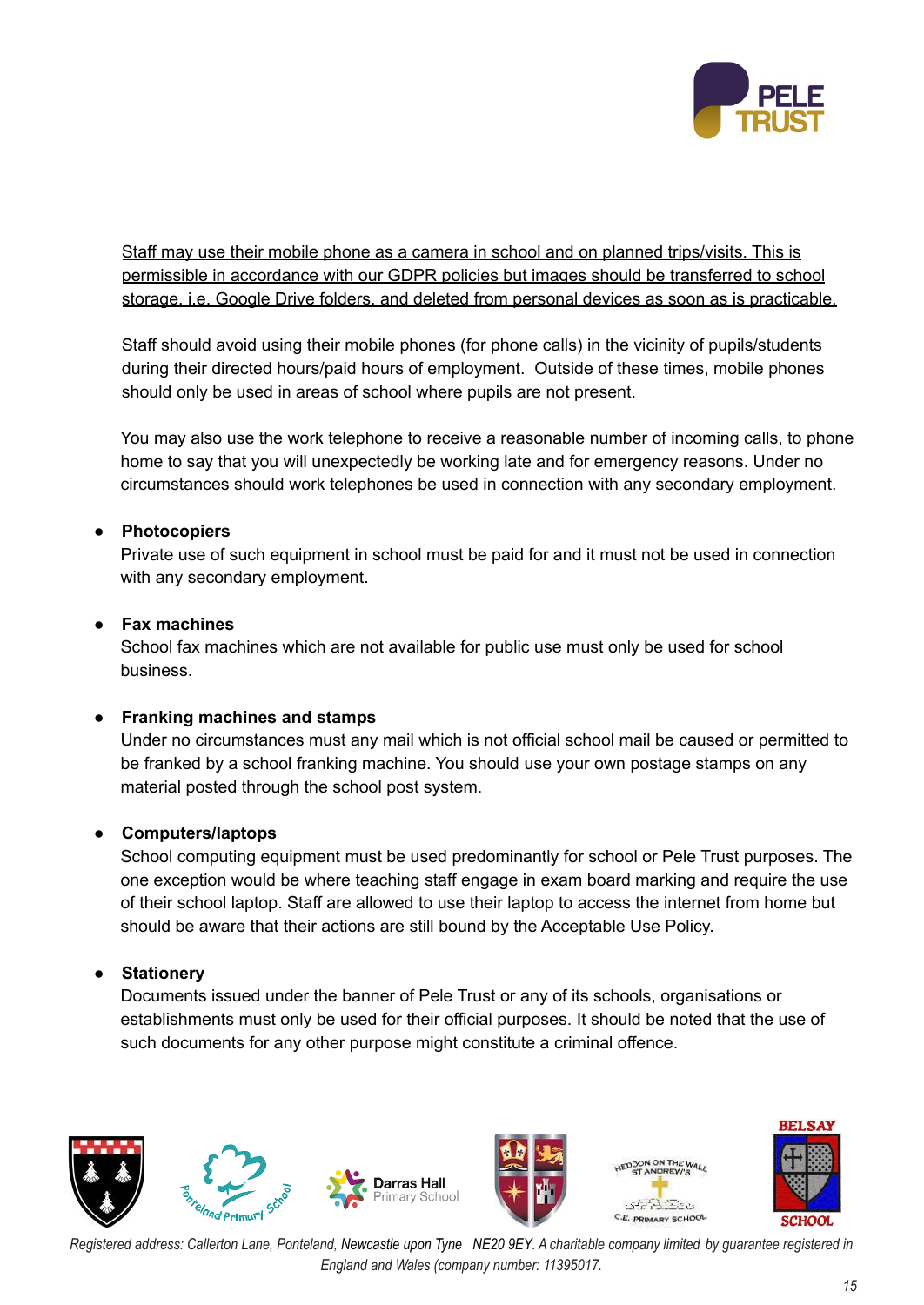

Staff may use their mobile phone as a camera in school and on planned trips/visits. This is permissible in accordance with our GDPR policies but images should be transferred to school storage, i.e. Google Drive folders, and deleted from personal devices as soon as is practicable.

Staff should avoid using their mobile phones (for phone calls) in the vicinity of pupils/students during their directed hours/paid hours of employment. Outside of these times, mobile phones should only be used in areas of school where pupils are not present.

You may also use the work telephone to receive a reasonable number of incoming calls, to phone home to say that you will unexpectedly be working late and for emergency reasons. Under no circumstances should work telephones be used in connection with any secondary employment.

# **● Photocopiers**

Private use of such equipment in school must be paid for and it must not be used in connection with any secondary employment.

# **● Fax machines**

School fax machines which are not available for public use must only be used for school business.

# **● Franking machines and stamps**

Under no circumstances must any mail which is not official school mail be caused or permitted to be franked by a school franking machine. You should use your own postage stamps on any material posted through the school post system.

### **● Computers/laptops**

School computing equipment must be used predominantly for school or Pele Trust purposes. The one exception would be where teaching staff engage in exam board marking and require the use of their school laptop. Staff are allowed to use their laptop to access the internet from home but should be aware that their actions are still bound by the Acceptable Use Policy.

# **● Stationery**

Documents issued under the banner of Pele Trust or any of its schools, organisations or establishments must only be used for their official purposes. It should be noted that the use of such documents for any other purpose might constitute a criminal offence.

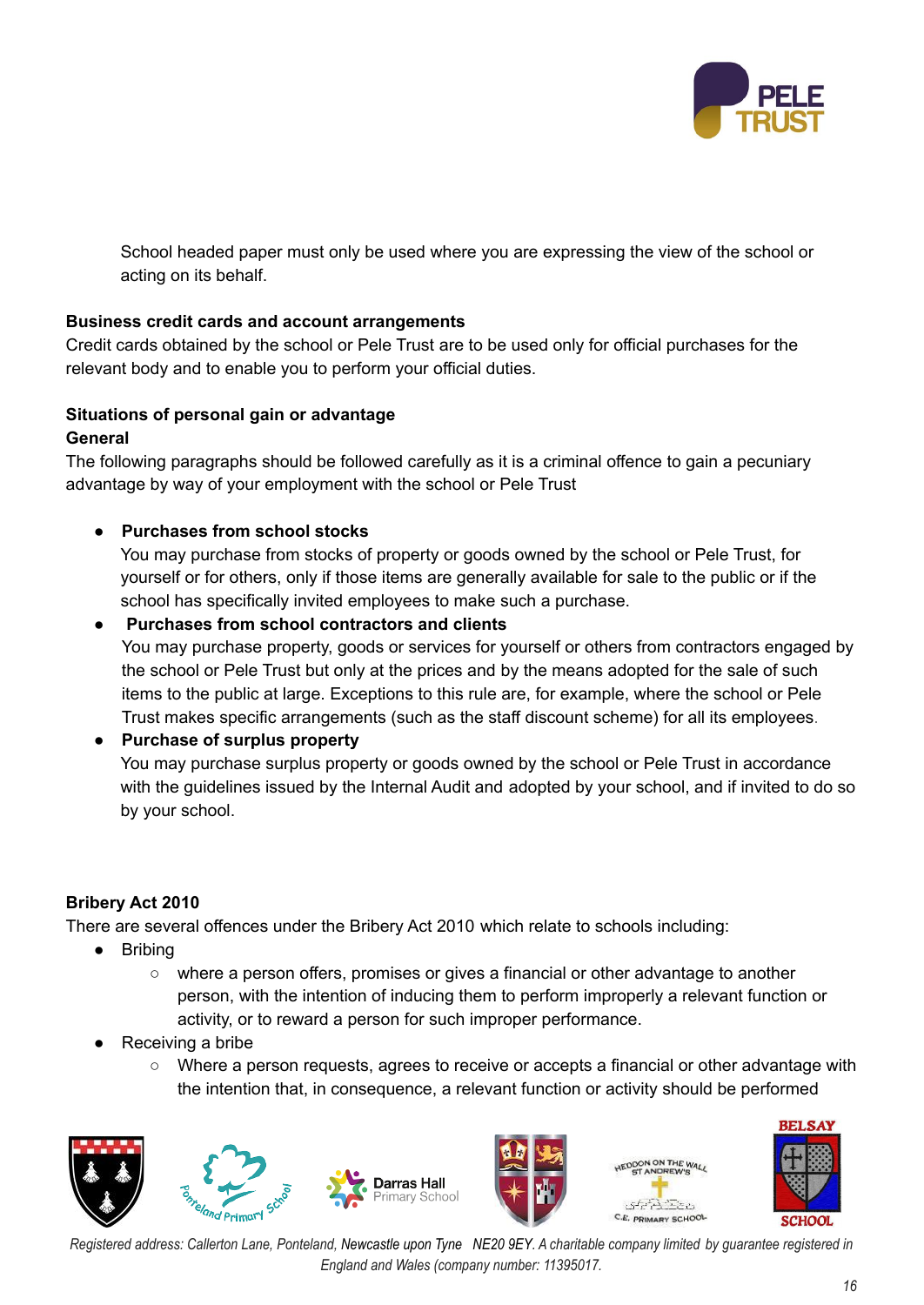

School headed paper must only be used where you are expressing the view of the school or acting on its behalf.

# **Business credit cards and account arrangements**

Credit cards obtained by the school or Pele Trust are to be used only for official purchases for the relevant body and to enable you to perform your official duties.

# **Situations of personal gain or advantage**

### **General**

The following paragraphs should be followed carefully as it is a criminal offence to gain a pecuniary advantage by way of your employment with the school or Pele Trust

# **● Purchases from school stocks**

You may purchase from stocks of property or goods owned by the school or Pele Trust, for yourself or for others, only if those items are generally available for sale to the public or if the school has specifically invited employees to make such a purchase.

# **● Purchases from school contractors and clients**

You may purchase property, goods or services for yourself or others from contractors engaged by the school or Pele Trust but only at the prices and by the means adopted for the sale of such items to the public at large. Exceptions to this rule are, for example, where the school or Pele Trust makes specific arrangements (such as the staff discount scheme) for all its employees.

### **● Purchase of surplus property**

You may purchase surplus property or goods owned by the school or Pele Trust in accordance with the guidelines issued by the Internal Audit and adopted by your school, and if invited to do so by your school.

# **Bribery Act 2010**

There are several offences under the Bribery Act 2010 which relate to schools including:

- Bribing
	- where a person offers, promises or gives a financial or other advantage to another person, with the intention of inducing them to perform improperly a relevant function or activity, or to reward a person for such improper performance.
- Receiving a bribe
	- $\circ$  Where a person requests, agrees to receive or accepts a financial or other advantage with the intention that, in consequence, a relevant function or activity should be performed





C.E. PRIMARY SCHOOL

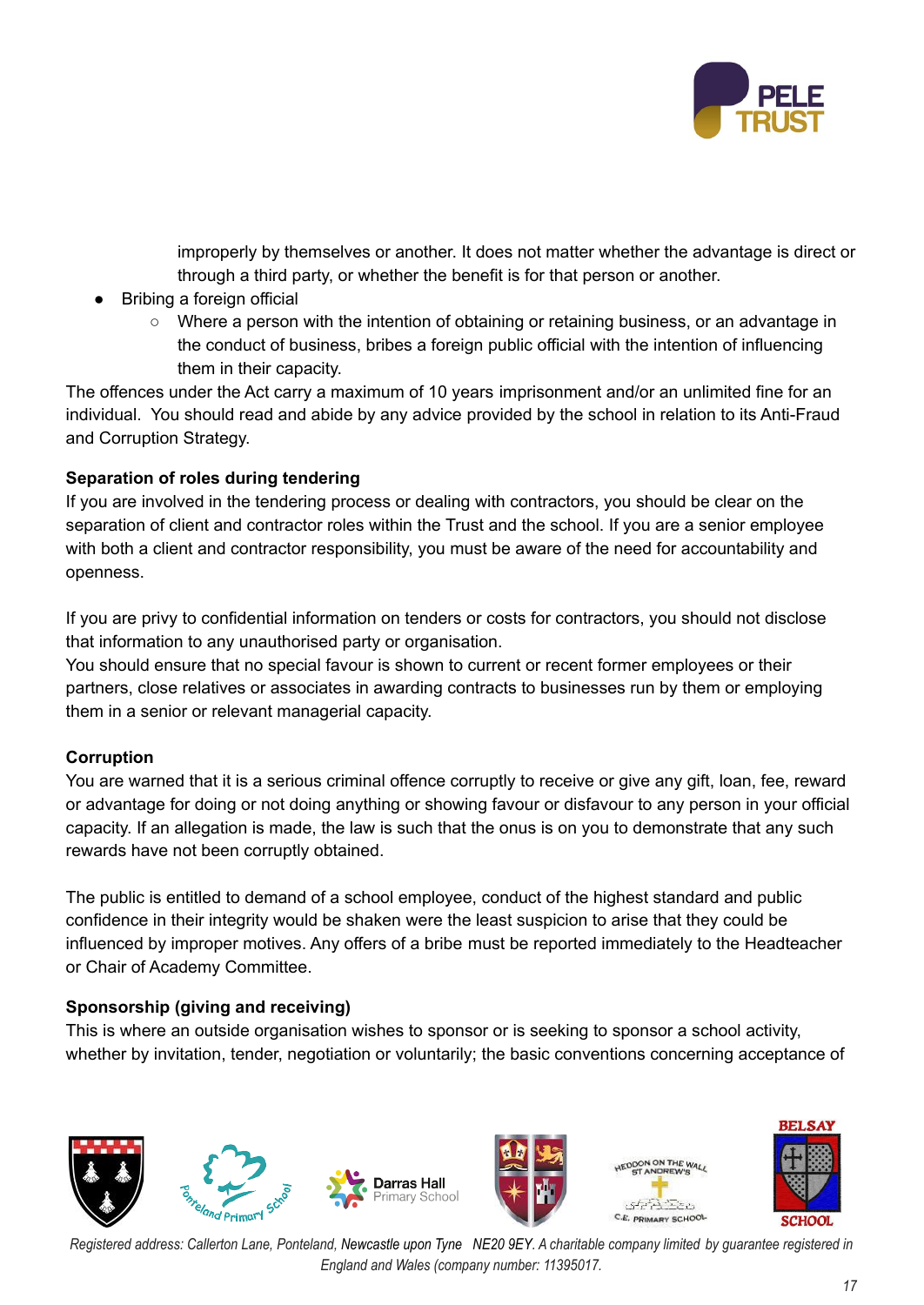

improperly by themselves or another. It does not matter whether the advantage is direct or through a third party, or whether the benefit is for that person or another.

- Bribing a foreign official
	- Where a person with the intention of obtaining or retaining business, or an advantage in the conduct of business, bribes a foreign public official with the intention of influencing them in their capacity.

The offences under the Act carry a maximum of 10 years imprisonment and/or an unlimited fine for an individual. You should read and abide by any advice provided by the school in relation to its Anti-Fraud and Corruption Strategy.

# **Separation of roles during tendering**

If you are involved in the tendering process or dealing with contractors, you should be clear on the separation of client and contractor roles within the Trust and the school. If you are a senior employee with both a client and contractor responsibility, you must be aware of the need for accountability and openness.

If you are privy to confidential information on tenders or costs for contractors, you should not disclose that information to any unauthorised party or organisation.

You should ensure that no special favour is shown to current or recent former employees or their partners, close relatives or associates in awarding contracts to businesses run by them or employing them in a senior or relevant managerial capacity.

# **Corruption**

You are warned that it is a serious criminal offence corruptly to receive or give any gift, loan, fee, reward or advantage for doing or not doing anything or showing favour or disfavour to any person in your official capacity. If an allegation is made, the law is such that the onus is on you to demonstrate that any such rewards have not been corruptly obtained.

The public is entitled to demand of a school employee, conduct of the highest standard and public confidence in their integrity would be shaken were the least suspicion to arise that they could be influenced by improper motives. Any offers of a bribe must be reported immediately to the Headteacher or Chair of Academy Committee.

# **Sponsorship (giving and receiving)**

This is where an outside organisation wishes to sponsor or is seeking to sponsor a school activity, whether by invitation, tender, negotiation or voluntarily; the basic conventions concerning acceptance of

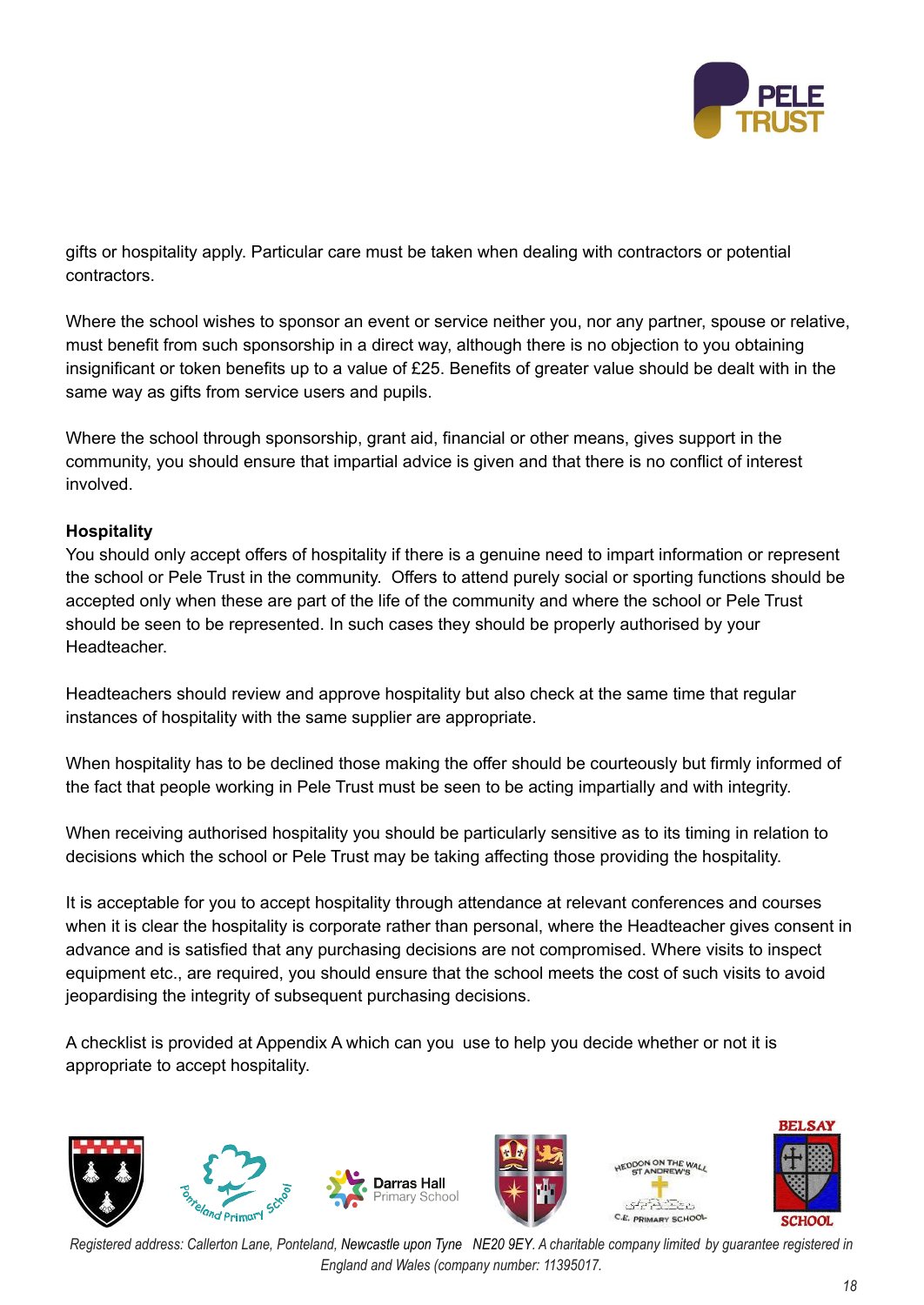

gifts or hospitality apply. Particular care must be taken when dealing with contractors or potential contractors.

Where the school wishes to sponsor an event or service neither you, nor any partner, spouse or relative, must benefit from such sponsorship in a direct way, although there is no objection to you obtaining insignificant or token benefits up to a value of £25. Benefits of greater value should be dealt with in the same way as gifts from service users and pupils.

Where the school through sponsorship, grant aid, financial or other means, gives support in the community, you should ensure that impartial advice is given and that there is no conflict of interest involved.

# **Hospitality**

You should only accept offers of hospitality if there is a genuine need to impart information or represent the school or Pele Trust in the community. Offers to attend purely social or sporting functions should be accepted only when these are part of the life of the community and where the school or Pele Trust should be seen to be represented. In such cases they should be properly authorised by your Headteacher.

Headteachers should review and approve hospitality but also check at the same time that regular instances of hospitality with the same supplier are appropriate.

When hospitality has to be declined those making the offer should be courteously but firmly informed of the fact that people working in Pele Trust must be seen to be acting impartially and with integrity.

When receiving authorised hospitality you should be particularly sensitive as to its timing in relation to decisions which the school or Pele Trust may be taking affecting those providing the hospitality.

It is acceptable for you to accept hospitality through attendance at relevant conferences and courses when it is clear the hospitality is corporate rather than personal, where the Headteacher gives consent in advance and is satisfied that any purchasing decisions are not compromised. Where visits to inspect equipment etc., are required, you should ensure that the school meets the cost of such visits to avoid jeopardising the integrity of subsequent purchasing decisions.

A checklist is provided at Appendix A which can you use to help you decide whether or not it is appropriate to accept hospitality.

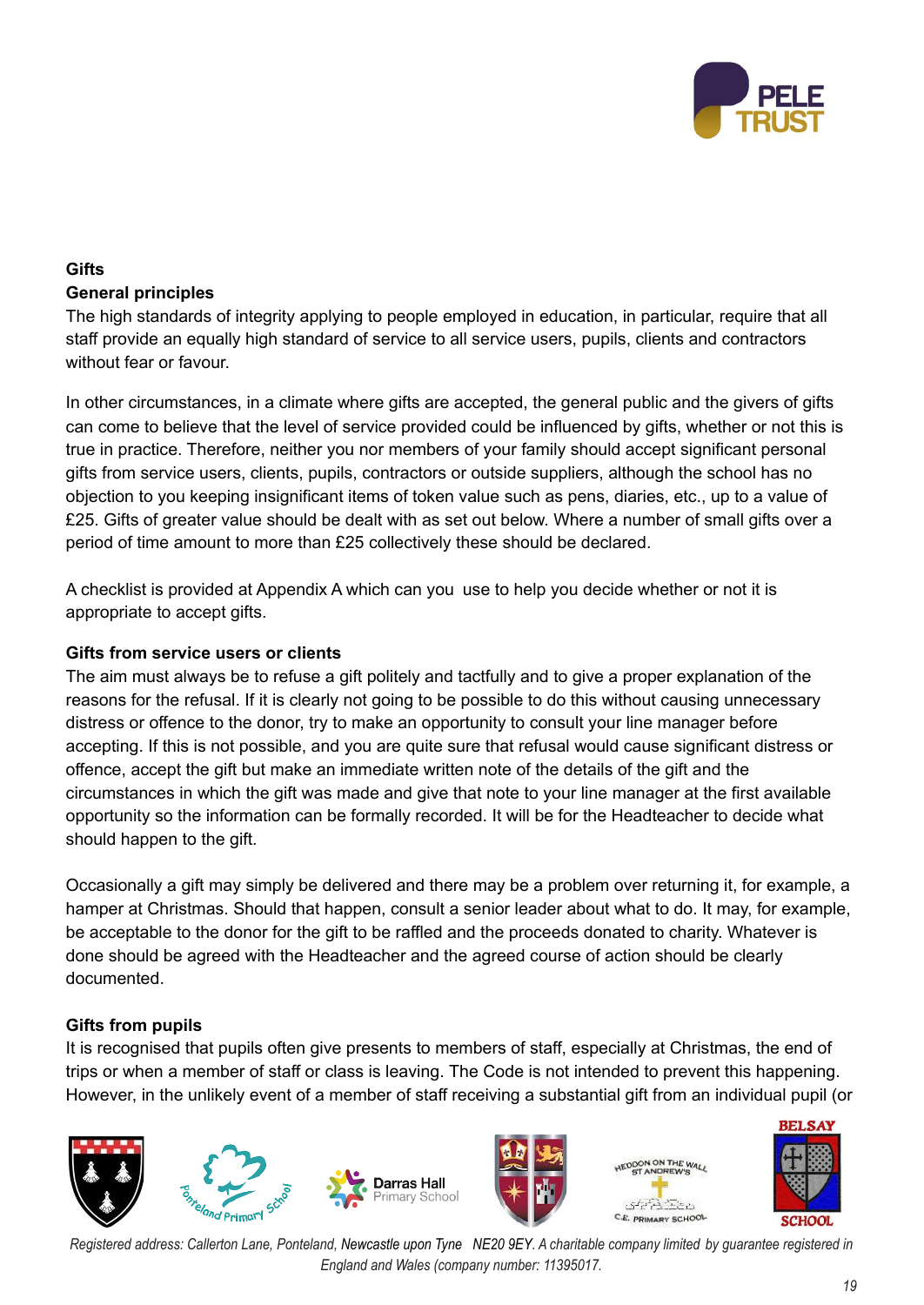

# **Gifts General principles**

The high standards of integrity applying to people employed in education, in particular, require that all staff provide an equally high standard of service to all service users, pupils, clients and contractors without fear or favour.

In other circumstances, in a climate where gifts are accepted, the general public and the givers of gifts can come to believe that the level of service provided could be influenced by gifts, whether or not this is true in practice. Therefore, neither you nor members of your family should accept significant personal gifts from service users, clients, pupils, contractors or outside suppliers, although the school has no objection to you keeping insignificant items of token value such as pens, diaries, etc., up to a value of £25. Gifts of greater value should be dealt with as set out below. Where a number of small gifts over a period of time amount to more than £25 collectively these should be declared.

A checklist is provided at Appendix A which can you use to help you decide whether or not it is appropriate to accept gifts.

# **Gifts from service users or clients**

The aim must always be to refuse a gift politely and tactfully and to give a proper explanation of the reasons for the refusal. If it is clearly not going to be possible to do this without causing unnecessary distress or offence to the donor, try to make an opportunity to consult your line manager before accepting. If this is not possible, and you are quite sure that refusal would cause significant distress or offence, accept the gift but make an immediate written note of the details of the gift and the circumstances in which the gift was made and give that note to your line manager at the first available opportunity so the information can be formally recorded. It will be for the Headteacher to decide what should happen to the gift.

Occasionally a gift may simply be delivered and there may be a problem over returning it, for example, a hamper at Christmas. Should that happen, consult a senior leader about what to do. It may, for example, be acceptable to the donor for the gift to be raffled and the proceeds donated to charity. Whatever is done should be agreed with the Headteacher and the agreed course of action should be clearly documented.

# **Gifts from pupils**

It is recognised that pupils often give presents to members of staff, especially at Christmas, the end of trips or when a member of staff or class is leaving. The Code is not intended to prevent this happening. However, in the unlikely event of a member of staff receiving a substantial gift from an individual pupil (or



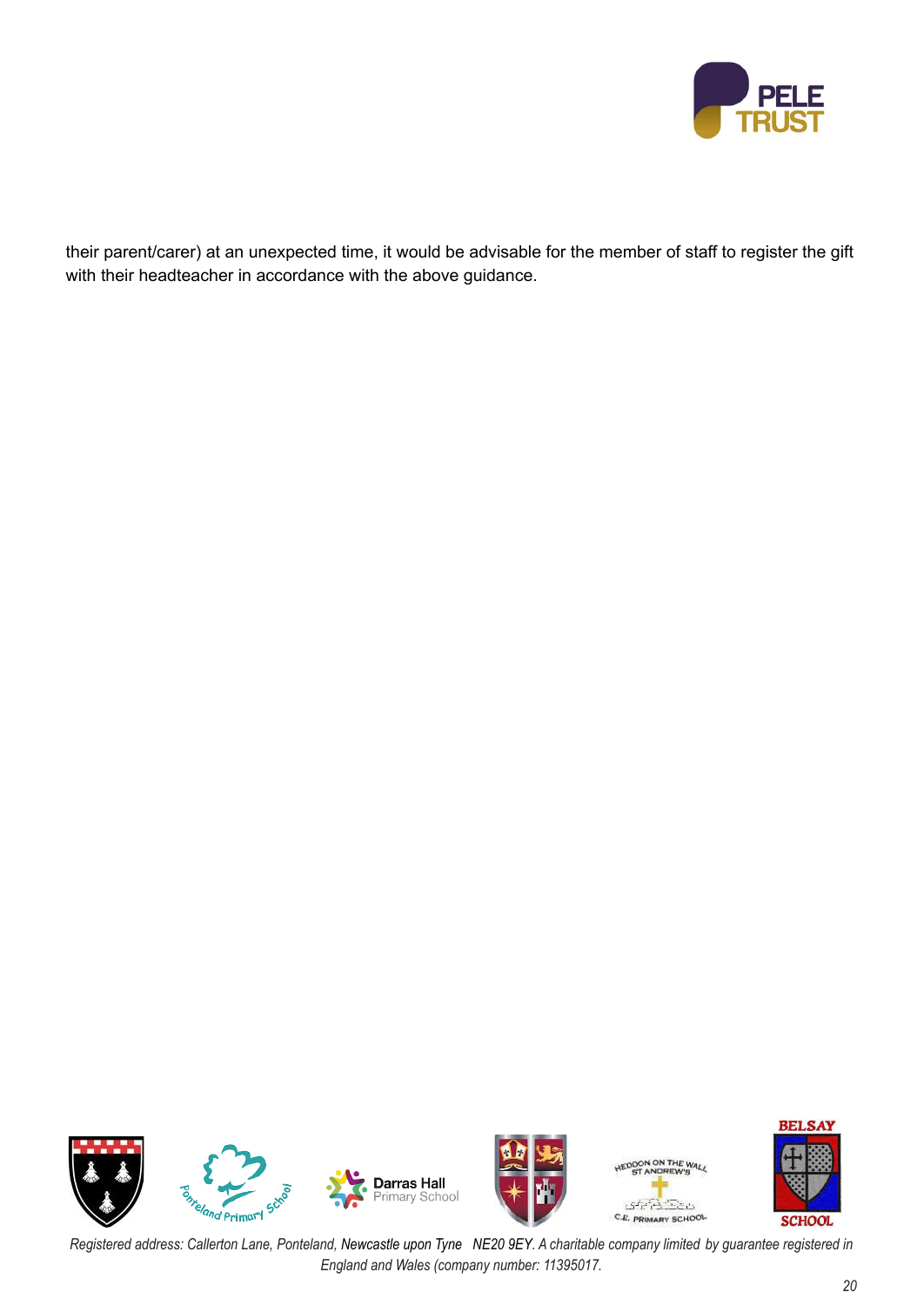

their parent/carer) at an unexpected time, it would be advisable for the member of staff to register the gift with their headteacher in accordance with the above guidance.